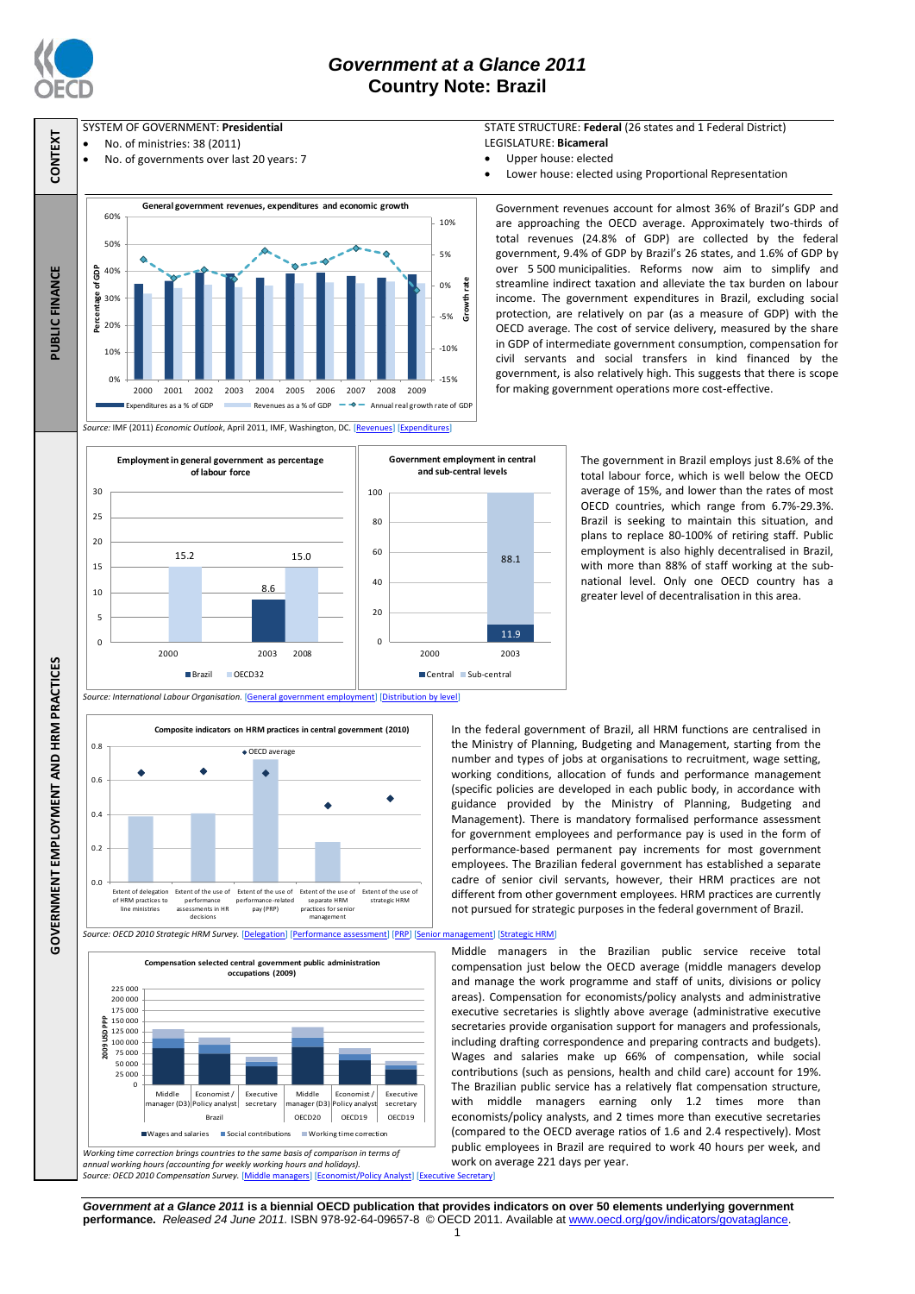

 $\Omega$ 5

**GOVERNMENT EMPLOYMENT AND HRM PRACTICES**

15<br>10 20<br>15 25<br>20 30<br>25  $30$ 

## *Government at a Glance 2011* **Country Note: Brazil**

### SYSTEM OF GOVERNMENT: **Presidential**

- No. of ministries: 38 (2011)
- No. of governments over last 20 years: 7



#### STATE STRUCTURE: **Federal** (26 states and 1 Federal District) LEGISLATURE: **Bicameral**

- Upper house: elected
- Lower house: elected using Proportional Representation

are approaching the OECD average. Approximately two-thirds of total revenues (24.8% of GDP) are collected by the federal government, 9.4% of GDP by Brazil's 26 states, and 1.6% of GDP by over 5 500 municipalities. Reforms now aim to simplify and streamline indirect taxation and alleviate the tax burden on labour income. The government expenditures in Brazil, excluding social protection, are relatively on par (as a measure of GDP) with the DECD average. The cost of service delivery, measured by the share in GDP of intermediate government consumption, compensation for civil servants and social transfers in kind financed by the government, is also relatively high. This suggests that there is scope Government revenues account for almost 36% of Brazil's GDP and for making government operations more cost-effective.

15.2 15.0 2000 2003 2008 **Employment in general government as percentage**  11.9 88.1  $\Omega$ 40<br>20 60<br>40 80<br>60 8 0 100 2000 2003 **Government employment in central and sub-central levels**

Central Sub-central

The government in Brazil employs just 8.6% of the total labour force, which is well below the OECD average of 15%, and lower than the rates of most OECD countries, which range from 6.7%-29.3%. Brazil is seeking to maintain this situation, and plans to replace 80-100% of retiring staff. Public employment is also highly decentralised in Brazil, with more than 88% of staff working at the subnational level. Only one OECD country has a greater level of decentralisation in this area.

 $0.0$  $0.2$ 0.4 0.6  $0.8$ Extent of delegation of HRM practices to line ministries Extent of the use of<br>nerformance performance assessments in HR decisions Extent of the use of performance-related pay (PRP) Extent of the use of separate HRM Extent of the use of strategic HRM practices for senior management **Composite indicators on HRM practices in central government (2010)** OECD average

*Source: International Labour Organisation.* [\[General government employment\]](http://dx.doi.org/10.1787/888932390538) [\[Distribution by level\]](http://dx.doi.org/10.1787/888932390576)

8.6

**of labour force** 

Brazil OECD32



In the federal government of Brazil, all HRM functions are centralised in the Ministry of Planning, Budgeting and Management, starting from the number and types of jobs at organisations to recruitment, wage setting, working conditions, allocation of funds and performance management (specific policies are developed in each public body, in accordance with guidance provided by the Ministry of Planning, Budgeting and Management). There is mandatory formalised performance assessment for government employees and performance pay is used in the form of performance-based permanent pay increments for most government employees. The Brazilian federal government has established a separate cadre of senior civil servants, however, their HRM practices are not different from other government employees. HRM practices are currently not pursued for strategic purposes in the federal government of Brazil.

Middle managers in the Brazilian public service receive total compensation just below the OECD average (middle managers develop and manage the work programme and staff of units, divisions or policy areas). Compensation for economists/policy analysts and administrative executive secretaries is slightly above average (administrative executive secretaries provide organisation support for managers and professionals, including drafting correspondence and preparing contracts and budgets). Wages and salaries make up 66% of compensation, while social contributions (such as pensions, health and child care) account for 19%. The Brazilian public service has a relatively flat compensation structure, with middle managers earning only 1.2 times more than economists/policy analysts, and 2 times more than executive secretaries (compared to the OECD average ratios of 1.6 and 2.4 respectively). Most public employees in Brazil are required to work 40 hours per week, and work on average 221 days per year.

*Government at a Glance 2011* **is a biennial OECD publication that provides indicators on over 50 elements underlying government performance.** *Released 24 June 2011.* ISBN 978-92-64-09657-8 © OECD 2011. Available at www.oecd.org/gov/indicators/govataglance.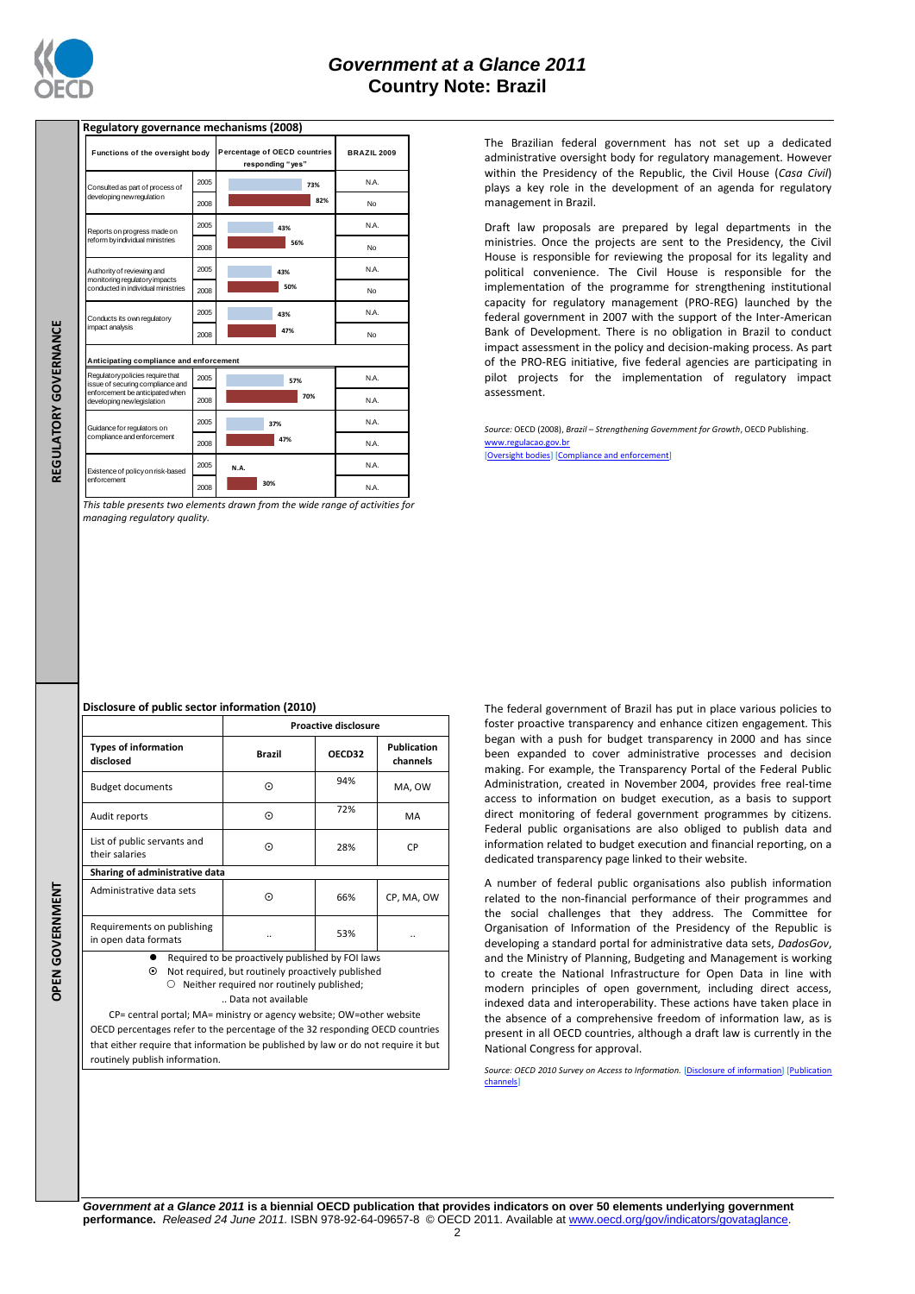

REGULATORY GOVERNANCE

## **Regulatory governance mechanisms (2008)**

| Functions of the oversight body                                                                                                       |      | Percentage of OECD countries<br>responding "yes" | <b>BRAZIL 2009</b> |
|---------------------------------------------------------------------------------------------------------------------------------------|------|--------------------------------------------------|--------------------|
| Consulted as part of process of<br>developing new regulation                                                                          | 2005 | 73%                                              | N.A.               |
|                                                                                                                                       | 2008 | 82%                                              | No                 |
| Reports on progress made on<br>reform by individual ministries                                                                        | 2005 | 43%                                              | N.A.               |
|                                                                                                                                       | 2008 | 56%                                              | No                 |
| Authority of reviewing and<br>monitoring regulatory impacts<br>conducted in individual ministries                                     | 2005 | 43%                                              | N.A.               |
|                                                                                                                                       | 2008 | 50%                                              | No                 |
| Conducts its own regulatory<br>impact analysis                                                                                        | 2005 | 43%                                              | N.A.               |
|                                                                                                                                       | 2008 | 47%                                              | No                 |
| Anticipating compliance and enforcement                                                                                               |      |                                                  |                    |
| Regulatory policies require that<br>issue of securing compliance and<br>enforcement be anticipated when<br>developing new legislation | 2005 | 57%                                              | N.A.               |
|                                                                                                                                       | 2008 | 70%                                              | N.A.               |
| Guidance for regulators on<br>compliance and enforcement                                                                              | 2005 | 37%                                              | N.A.               |
|                                                                                                                                       | 2008 | 47%                                              | N.A.               |
| Existence of policy on risk-based<br>enforcement                                                                                      | 2005 | N.A.                                             | N.A.               |
|                                                                                                                                       | 2008 | 30%                                              | N.A.               |

*This table presents two elements drawn from the wide range of activities for managing regulatory quality.*

The Brazilian federal government has not set up a dedicated administrative oversight body for regulatory management. However within the Presidency of the Republic, the Civil House (*Casa Civil*) plays a key role in the development of an agenda for regulatory management in Brazil.

Draft law proposals are prepared by legal departments in the ministries. Once the projects are sent to the Presidency, the Civil House is responsible for reviewing the proposal for its legality and political convenience. The Civil House is responsible for the implementation of the programme for strengthening institutional capacity for regulatory management (PRO-REG) launched by the federal government in 2007 with the support of the Inter-American Bank of Development. There is no obligation in Brazil to conduct impact assessment in the policy and decision-making process. As part of the PRO-REG initiative, five federal agencies are participating in pilot projects for the implementation of regulatory impact assessment.

*Source:* OECD (2008), *Brazil – Strengthening Government for Growth*, OECD Publishing. [www.regulacao.gov.br](http://www.regulacao.gov.br/)

[\[Oversight bodies\]](http://dx.doi.org/10.1787/888932391127) [\[Compliance and enforcement\]](http://dx.doi.org/10.1787/888932391203)

#### **Disclosure of public sector information (2010)**

|                                                                                                                                                                  | <b>Proactive disclosure</b> |        |                         |  |  |  |
|------------------------------------------------------------------------------------------------------------------------------------------------------------------|-----------------------------|--------|-------------------------|--|--|--|
| <b>Types of information</b><br>disclosed                                                                                                                         | <b>Brazil</b>               | OECD32 | Publication<br>channels |  |  |  |
| <b>Budget documents</b>                                                                                                                                          | ⊙                           | 94%    | MA, OW                  |  |  |  |
| Audit reports                                                                                                                                                    | $_{\odot}$                  | 72%    | MA                      |  |  |  |
| List of public servants and<br>their salaries                                                                                                                    | ⊙                           | 28%    | CP                      |  |  |  |
| Sharing of administrative data                                                                                                                                   |                             |        |                         |  |  |  |
| Administrative data sets                                                                                                                                         | ⊙                           | 66%    | CP, MA, OW              |  |  |  |
| Requirements on publishing<br>in open data formats                                                                                                               | 53%<br>                     |        |                         |  |  |  |
| Required to be proactively published by FOI laws<br>⊙<br>Not required, but routinely proactively published<br>$\cap$ . Notther required nor reutingly nublished. |                             |        |                         |  |  |  |

**OPEN GOVERNMENT REGULATORY GOVERNANCEOPEN GOVERNMENT** 

 $\circlearrowright$  Neither required nor routinely published .. Data not available

CP= central portal; MA= ministry or agency website; OW=other website OECD percentages refer to the percentage of the 32 responding OECD countries that either require that information be published by law or do not require it but routinely publish information.

The federal government of Brazil has put in place various policies to foster proactive transparency and enhance citizen engagement. This began with a push for budget transparency in 2000 and has since been expanded to cover administrative processes and decision making. For example, the Transparency Portal of the Federal Public Administration, created in November 2004, provides free real-time access to information on budget execution, as a basis to support direct monitoring of federal government programmes by citizens. Federal public organisations are also obliged to publish data and information related to budget execution and financial reporting, on a dedicated transparency page linked to their website.

A number of federal public organisations also publish information related to the non-financial performance of their programmes and the social challenges that they address. The Committee for Organisation of Information of the Presidency of the Republic is developing a standard portal for administrative data sets, *DadosGov*, and the Ministry of Planning, Budgeting and Management is working to create the National Infrastructure for Open Data in line with modern principles of open government, including direct access, indexed data and interoperability. These actions have taken place in the absence of a comprehensive freedom of information law, as is present in all OECD countries, although a draft law is currently in the National Congress for approval.

*Source: OECD 2010 Survey on Access to Information.* [\[Disclosure of information\]](http://dx.doi.org/10.1787/888932392153) [\[Publication](http://dx.doi.org/10.1787/888932392172)  [channels\]](http://dx.doi.org/10.1787/888932392172)

*Government at a Glance 2011* **is a biennial OECD publication that provides indicators on over 50 elements underlying government performance.** *Released 24 June 2011.* ISBN 978-92-64-09657-8 © OECD 2011. Available at www.oecd.org/gov/indicators/govataglance.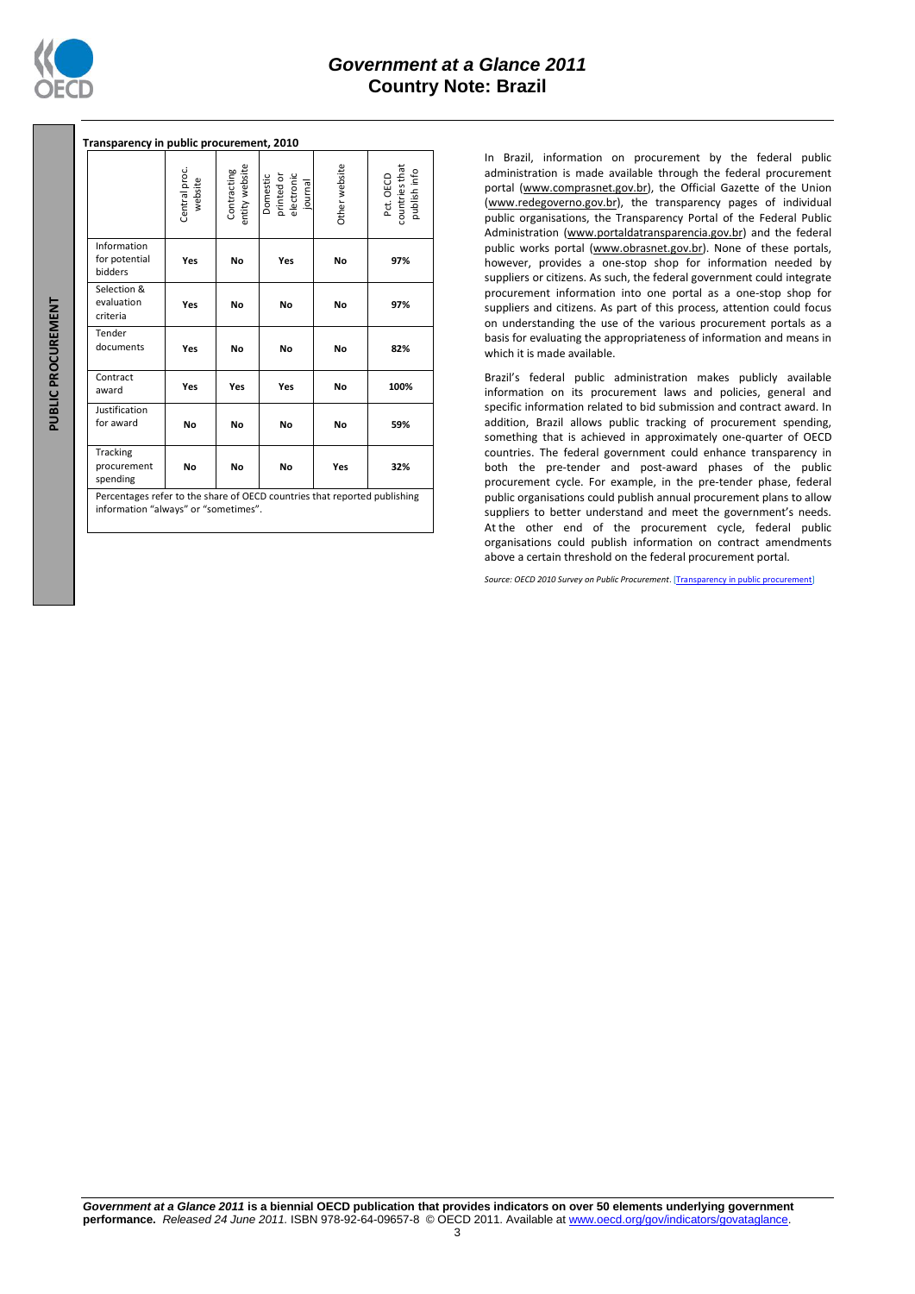

| Transparency in public procurement, 2010                                                                         |                          |                               |                                                 |               |                                             |  |  |  |  |
|------------------------------------------------------------------------------------------------------------------|--------------------------|-------------------------------|-------------------------------------------------|---------------|---------------------------------------------|--|--|--|--|
|                                                                                                                  | Central proc.<br>website | entity website<br>Contracting | Domestic<br>printed or<br>electronic<br>journal | Other website | Pct. OECD<br>countries that<br>publish info |  |  |  |  |
| Information<br>for potential<br>bidders                                                                          | Yes                      | No                            | Yes                                             | No            | 97%                                         |  |  |  |  |
| Selection &<br>evaluation<br>criteria                                                                            | Yes                      | No                            | No                                              | No            | 97%                                         |  |  |  |  |
| Tender<br>documents                                                                                              | Yes                      | No                            | No                                              | No            | 82%                                         |  |  |  |  |
| Contract<br>award                                                                                                | Yes                      | Yes                           | Yes                                             | No            | 100%                                        |  |  |  |  |
| Justification<br>for award                                                                                       | No                       | No                            | No                                              | No            | 59%                                         |  |  |  |  |
| Tracking<br>procurement<br>spending<br>Bercentages refer to the share of OECD countries that reported publishing | No                       | No                            | No                                              | Yes           | 32%                                         |  |  |  |  |

rcentages refer to the share of OECD information "always" or "sometimes".

In Brazil, information on procurement by the federal public administration is made available through the federal procurement portal (www.comprasnet.gov.br), the Official Gazette of the Union (www.redegoverno.gov.br), the transparency pages of individual public organisations, the Transparency Portal of the Federal Public Administration (www.portaldatransparencia.gov.br) and the federal public works portal (www.obrasnet.gov.br). None of these portals, however, provides a one-stop shop for information needed by suppliers or citizens. As such, the federal government could integrate procurement information into one portal as a one-stop shop for suppliers and citizens. As part of this process, attention could focus on understanding the use of the various procurement portals as a basis for evaluating the appropriateness of information and means in which it is made available.

Brazil's federal public administration makes publicly available information on its procurement laws and policies, general and specific information related to bid submission and contract award. In addition, Brazil allows public tracking of procurement spending, something that is achieved in approximately one-quarter of OECD countries. The federal government could enhance transparency in both the pre-tender and post-award phases of the public procurement cycle. For example, in the pre-tender phase, federal public organisations could publish annual procurement plans to allow suppliers to better understand and meet the government's needs. At the other end of the procurement cycle, federal public organisations could publish information on contract amendments above a certain threshold on the federal procurement portal.

*Source: OECD 2010 Survey on Public Procurement*. [\[Transparency in public procurement\]](http://dx.doi.org/10.1787/888932392419)